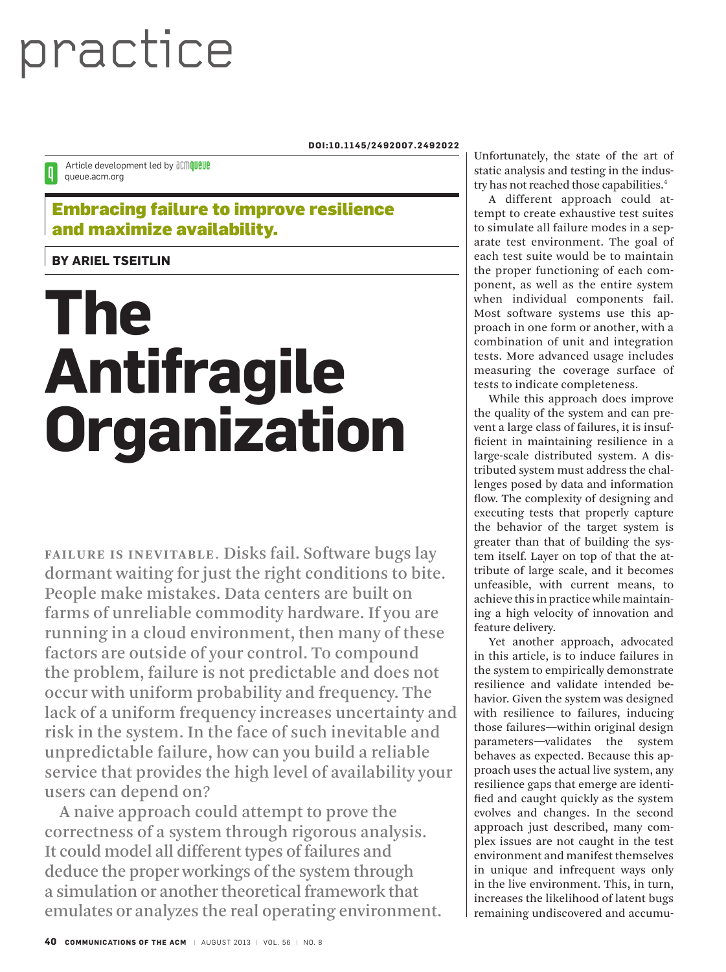# practice

Article development led by dCmuueue queue.acm.org

# Embracing failure to improve resilience and maximize availability.

**doi:10.1145/2492007.2492022**

# **by Ariel Tseitlin**

# **The Antifragile Organization**

**Failure is inevitable.** Disks fail. Software bugs lay dormant waiting for just the right conditions to bite. People make mistakes. Data centers are built on farms of unreliable commodity hardware. If you are running in a cloud environment, then many of these factors are outside of your control. To compound the problem, failure is not predictable and does not occur with uniform probability and frequency. The lack of a uniform frequency increases uncertainty and risk in the system. In the face of such inevitable and unpredictable failure, how can you build a reliable service that provides the high level of availability your users can depend on?

A naive approach could attempt to prove the correctness of a system through rigorous analysis. It could model all different types of failures and deduce the proper workings of the system through a simulation or another theoretical framework that emulates or analyzes the real operating environment. Unfortunately, the state of the art of static analysis and testing in the industry has not reached those capabilities.<sup>4</sup>

A different approach could attempt to create exhaustive test suites to simulate all failure modes in a separate test environment. The goal of each test suite would be to maintain the proper functioning of each component, as well as the entire system when individual components fail. Most software systems use this approach in one form or another, with a combination of unit and integration tests. More advanced usage includes measuring the coverage surface of tests to indicate completeness.

While this approach does improve the quality of the system and can prevent a large class of failures, it is insufficient in maintaining resilience in a large-scale distributed system. A distributed system must address the challenges posed by data and information flow. The complexity of designing and executing tests that properly capture the behavior of the target system is greater than that of building the system itself. Layer on top of that the attribute of large scale, and it becomes unfeasible, with current means, to achieve this in practice while maintaining a high velocity of innovation and feature delivery.

Yet another approach, advocated in this article, is to induce failures in the system to empirically demonstrate resilience and validate intended behavior. Given the system was designed with resilience to failures, inducing those failures—within original design parameters—validates the system behaves as expected. Because this approach uses the actual live system, any resilience gaps that emerge are identified and caught quickly as the system evolves and changes. In the second approach just described, many complex issues are not caught in the test environment and manifest themselves in unique and infrequent ways only in the live environment. This, in turn, increases the likelihood of latent bugs remaining undiscovered and accumu-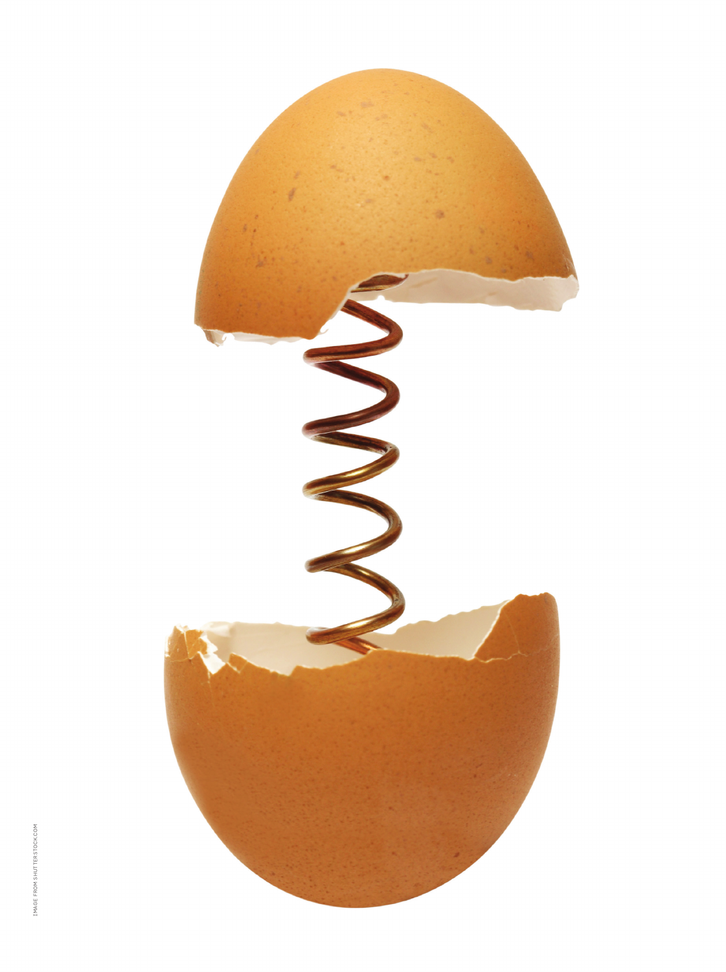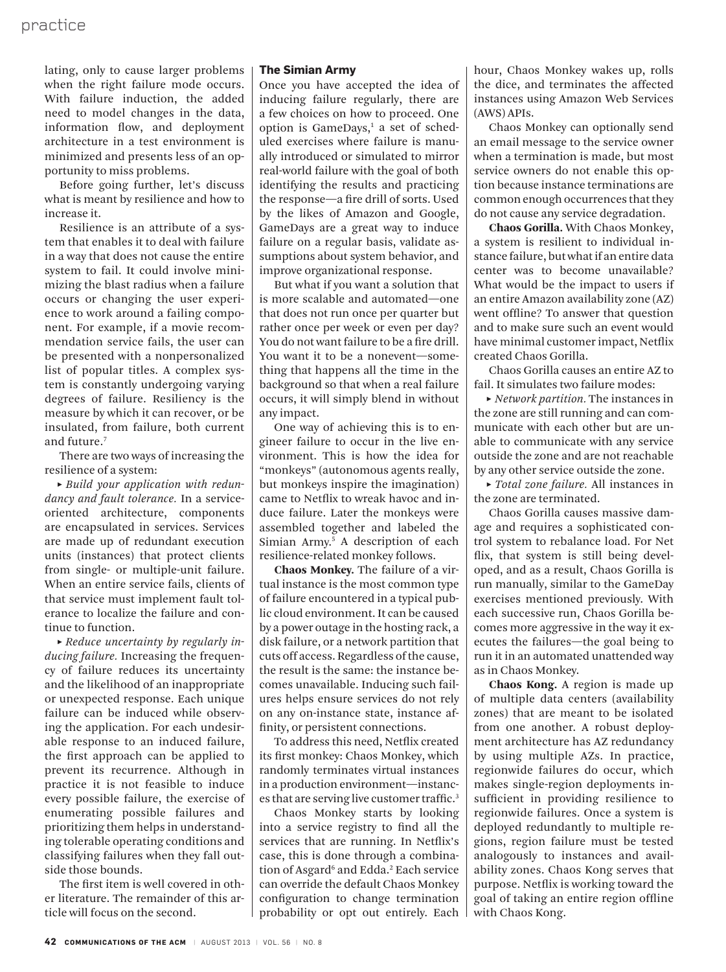lating, only to cause larger problems when the right failure mode occurs. With failure induction, the added need to model changes in the data, information flow, and deployment architecture in a test environment is minimized and presents less of an opportunity to miss problems.

Before going further, let's discuss what is meant by resilience and how to increase it.

Resilience is an attribute of a system that enables it to deal with failure in a way that does not cause the entire system to fail. It could involve minimizing the blast radius when a failure occurs or changing the user experience to work around a failing component. For example, if a movie recommendation service fails, the user can be presented with a nonpersonalized list of popular titles. A complex system is constantly undergoing varying degrees of failure. Resiliency is the measure by which it can recover, or be insulated, from failure, both current and future.7

There are two ways of increasing the resilience of a system:

**˲** *Build your application with redundancy and fault tolerance.* In a serviceoriented architecture, components are encapsulated in services. Services are made up of redundant execution units (instances) that protect clients from single- or multiple-unit failure. When an entire service fails, clients of that service must implement fault tolerance to localize the failure and continue to function.

**˲** *Reduce uncertainty by regularly inducing failure.* Increasing the frequency of failure reduces its uncertainty and the likelihood of an inappropriate or unexpected response. Each unique failure can be induced while observing the application. For each undesirable response to an induced failure, the first approach can be applied to prevent its recurrence. Although in practice it is not feasible to induce every possible failure, the exercise of enumerating possible failures and prioritizing them helps in understanding tolerable operating conditions and classifying failures when they fall outside those bounds.

The first item is well covered in other literature. The remainder of this article will focus on the second.

### **The Simian Army**

Once you have accepted the idea of inducing failure regularly, there are a few choices on how to proceed. One option is GameDays,<sup>1</sup> a set of scheduled exercises where failure is manually introduced or simulated to mirror real-world failure with the goal of both identifying the results and practicing the response—a fire drill of sorts. Used by the likes of Amazon and Google, GameDays are a great way to induce failure on a regular basis, validate assumptions about system behavior, and improve organizational response.

But what if you want a solution that is more scalable and automated—one that does not run once per quarter but rather once per week or even per day? You do not want failure to be a fire drill. You want it to be a nonevent—something that happens all the time in the background so that when a real failure occurs, it will simply blend in without any impact.

One way of achieving this is to engineer failure to occur in the live environment. This is how the idea for "monkeys" (autonomous agents really, but monkeys inspire the imagination) came to Netflix to wreak havoc and induce failure. Later the monkeys were assembled together and labeled the Simian Army.<sup>5</sup> A description of each resilience-related monkey follows.

Chaos Monkey. The failure of a virtual instance is the most common type of failure encountered in a typical public cloud environment. It can be caused by a power outage in the hosting rack, a disk failure, or a network partition that cuts off access. Regardless of the cause, the result is the same: the instance becomes unavailable. Inducing such failures helps ensure services do not rely on any on-instance state, instance affinity, or persistent connections.

To address this need, Netflix created its first monkey: Chaos Monkey, which randomly terminates virtual instances in a production environment—instances that are serving live customer traffic.<sup>3</sup>

Chaos Monkey starts by looking into a service registry to find all the services that are running. In Netflix's case, this is done through a combination of Asgard<sup>6</sup> and Edda.<sup>2</sup> Each service can override the default Chaos Monkey configuration to change termination probability or opt out entirely. Each hour, Chaos Monkey wakes up, rolls the dice, and terminates the affected instances using Amazon Web Services (AWS) APIs.

Chaos Monkey can optionally send an email message to the service owner when a termination is made, but most service owners do not enable this option because instance terminations are common enough occurrences that they do not cause any service degradation.

Chaos Gorilla. With Chaos Monkey, a system is resilient to individual instance failure, but what if an entire data center was to become unavailable? What would be the impact to users if an entire Amazon availability zone (AZ) went offline? To answer that question and to make sure such an event would have minimal customer impact, Netflix created Chaos Gorilla.

Chaos Gorilla causes an entire AZ to fail. It simulates two failure modes:

**˲** *Network partition.* The instances in the zone are still running and can communicate with each other but are unable to communicate with any service outside the zone and are not reachable by any other service outside the zone.

**˲** *Total zone failure.* All instances in the zone are terminated.

Chaos Gorilla causes massive damage and requires a sophisticated control system to rebalance load. For Net flix, that system is still being developed, and as a result, Chaos Gorilla is run manually, similar to the GameDay exercises mentioned previously. With each successive run, Chaos Gorilla becomes more aggressive in the way it executes the failures—the goal being to run it in an automated unattended way as in Chaos Monkey.

Chaos Kong. A region is made up of multiple data centers (availability zones) that are meant to be isolated from one another. A robust deployment architecture has AZ redundancy by using multiple AZs. In practice, regionwide failures do occur, which makes single-region deployments insufficient in providing resilience to regionwide failures. Once a system is deployed redundantly to multiple regions, region failure must be tested analogously to instances and availability zones. Chaos Kong serves that purpose. Netflix is working toward the goal of taking an entire region offline with Chaos Kong.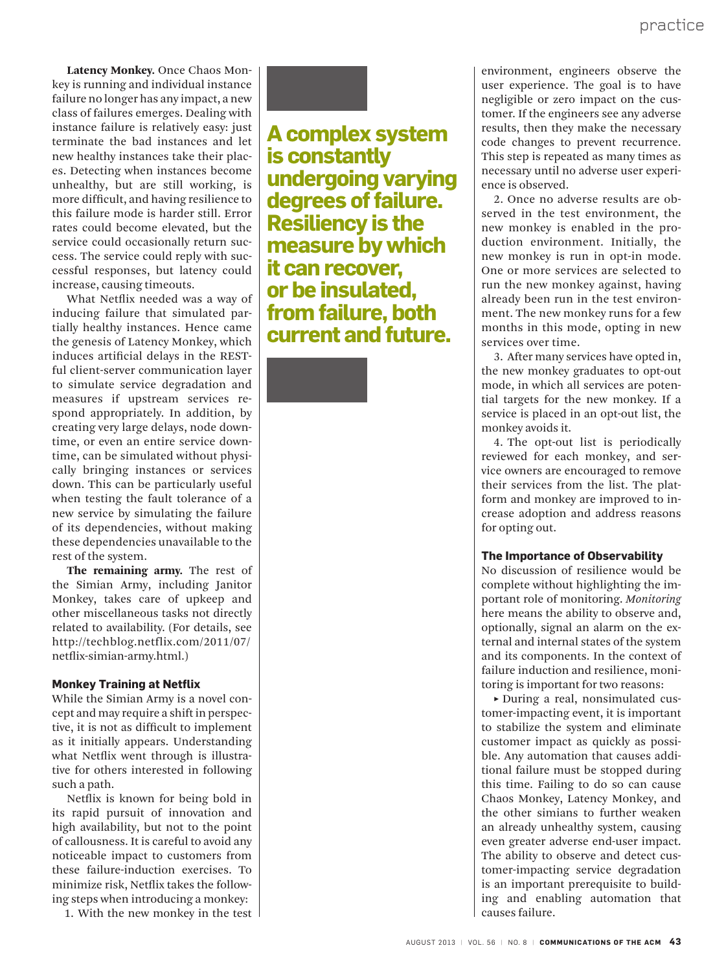Latency Monkey. Once Chaos Monkey is running and individual instance failure no longer has any impact, a new class of failures emerges. Dealing with instance failure is relatively easy: just terminate the bad instances and let new healthy instances take their places. Detecting when instances become unhealthy, but are still working, is more difficult, and having resilience to this failure mode is harder still. Error rates could become elevated, but the service could occasionally return success. The service could reply with successful responses, but latency could increase, causing timeouts.

What Netflix needed was a way of inducing failure that simulated partially healthy instances. Hence came the genesis of Latency Monkey, which induces artificial delays in the RESTful client-server communication layer to simulate service degradation and measures if upstream services respond appropriately. In addition, by creating very large delays, node downtime, or even an entire service downtime, can be simulated without physically bringing instances or services down. This can be particularly useful when testing the fault tolerance of a new service by simulating the failure of its dependencies, without making these dependencies unavailable to the rest of the system.

The remaining army. The rest of the Simian Army, including Janitor Monkey, takes care of upkeep and other miscellaneous tasks not directly related to availability. (For details, see http://techblog.netflix.com/2011/07/ netflix-simian-army.html.)

## **Monkey Training at Netflix**

While the Simian Army is a novel concept and may require a shift in perspective, it is not as difficult to implement as it initially appears. Understanding what Netflix went through is illustrative for others interested in following such a path.

Netflix is known for being bold in its rapid pursuit of innovation and high availability, but not to the point of callousness. It is careful to avoid any noticeable impact to customers from these failure-induction exercises. To minimize risk, Netflix takes the following steps when introducing a monkey:

1. With the new monkey in the test

# **A complex system is constantly undergoing varying degrees of failure. Resiliency is the measure by which it can recover, or be insulated, from failure, both current and future.**

environment, engineers observe the user experience. The goal is to have negligible or zero impact on the customer. If the engineers see any adverse results, then they make the necessary code changes to prevent recurrence. This step is repeated as many times as necessary until no adverse user experience is observed.

2. Once no adverse results are observed in the test environment, the new monkey is enabled in the production environment. Initially, the new monkey is run in opt-in mode. One or more services are selected to run the new monkey against, having already been run in the test environment. The new monkey runs for a few months in this mode, opting in new services over time.

3. After many services have opted in, the new monkey graduates to opt-out mode, in which all services are potential targets for the new monkey. If a service is placed in an opt-out list, the monkey avoids it.

4. The opt-out list is periodically reviewed for each monkey, and service owners are encouraged to remove their services from the list. The platform and monkey are improved to increase adoption and address reasons for opting out.

## **The Importance of Observability**

No discussion of resilience would be complete without highlighting the important role of monitoring. *Monitoring* here means the ability to observe and, optionally, signal an alarm on the external and internal states of the system and its components. In the context of failure induction and resilience, monitoring is important for two reasons:

**˲** During a real, nonsimulated customer-impacting event, it is important to stabilize the system and eliminate customer impact as quickly as possible. Any automation that causes additional failure must be stopped during this time. Failing to do so can cause Chaos Monkey, Latency Monkey, and the other simians to further weaken an already unhealthy system, causing even greater adverse end-user impact. The ability to observe and detect customer-impacting service degradation is an important prerequisite to building and enabling automation that causes failure.